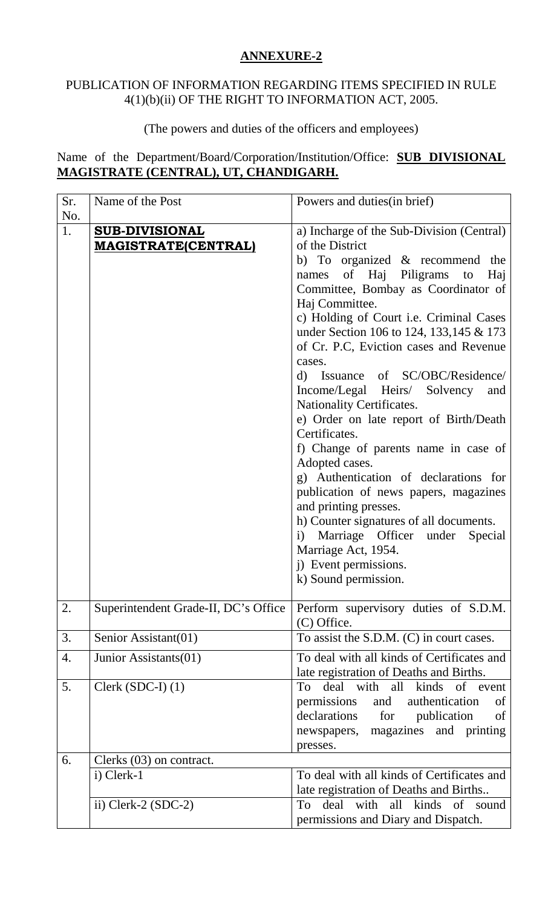## **ANNEXURE-2**

## PUBLICATION OF INFORMATION REGARDING ITEMS SPECIFIED IN RULE 4(1)(b)(ii) OF THE RIGHT TO INFORMATION ACT, 2005.

## (The powers and duties of the officers and employees)

Name of the Department/Board/Corporation/Institution/Office: **SUB DIVISIONAL MAGISTRATE (CENTRAL), UT, CHANDIGARH.**

| Sr.<br>No. | Name of the Post                                    | Powers and duties (in brief)                                                                                                                                                                                                                                                                                                                                                                                                                                                                                                                                                                                                                                                                                                                                                                                                                               |
|------------|-----------------------------------------------------|------------------------------------------------------------------------------------------------------------------------------------------------------------------------------------------------------------------------------------------------------------------------------------------------------------------------------------------------------------------------------------------------------------------------------------------------------------------------------------------------------------------------------------------------------------------------------------------------------------------------------------------------------------------------------------------------------------------------------------------------------------------------------------------------------------------------------------------------------------|
| 1.         | <b>SUB-DIVISIONAL</b><br><b>MAGISTRATE(CENTRAL)</b> | a) Incharge of the Sub-Division (Central)<br>of the District<br>b) To organized $\&$ recommend the<br>of Haj Piligrams to<br>Haj<br>names<br>Committee, Bombay as Coordinator of<br>Haj Committee.<br>c) Holding of Court i.e. Criminal Cases<br>under Section 106 to 124, 133, 145 & 173<br>of Cr. P.C, Eviction cases and Revenue<br>cases.<br>Issuance of SC/OBC/Residence/<br>d)<br>Income/Legal Heirs/ Solvency<br>and<br><b>Nationality Certificates.</b><br>e) Order on late report of Birth/Death<br>Certificates.<br>f) Change of parents name in case of<br>Adopted cases.<br>g) Authentication of declarations for<br>publication of news papers, magazines<br>and printing presses.<br>h) Counter signatures of all documents.<br>i) Marriage Officer under<br>Special<br>Marriage Act, 1954.<br>j) Event permissions.<br>k) Sound permission. |
| 2.         | Superintendent Grade-II, DC's Office                | Perform supervisory duties of S.D.M.<br>(C) Office.                                                                                                                                                                                                                                                                                                                                                                                                                                                                                                                                                                                                                                                                                                                                                                                                        |
| 3.         | Senior Assistant(01)                                | To assist the S.D.M. (C) in court cases.                                                                                                                                                                                                                                                                                                                                                                                                                                                                                                                                                                                                                                                                                                                                                                                                                   |
| 4.         | Junior Assistants(01)                               | To deal with all kinds of Certificates and<br>late registration of Deaths and Births.                                                                                                                                                                                                                                                                                                                                                                                                                                                                                                                                                                                                                                                                                                                                                                      |
| 5.         | Clerk $(SDC-I)$ $(1)$                               | deal with all kinds of event<br>To<br>authentication<br>permissions<br>and<br>of<br>declarations for<br>publication<br>of<br>newspapers, magazines and printing<br>presses.                                                                                                                                                                                                                                                                                                                                                                                                                                                                                                                                                                                                                                                                                |
| 6.         | Clerks (03) on contract.                            |                                                                                                                                                                                                                                                                                                                                                                                                                                                                                                                                                                                                                                                                                                                                                                                                                                                            |
|            | i) Clerk-1                                          | To deal with all kinds of Certificates and<br>late registration of Deaths and Births                                                                                                                                                                                                                                                                                                                                                                                                                                                                                                                                                                                                                                                                                                                                                                       |
|            | ii) Clerk-2 $(SDC-2)$                               | deal with all kinds of sound<br>To<br>permissions and Diary and Dispatch.                                                                                                                                                                                                                                                                                                                                                                                                                                                                                                                                                                                                                                                                                                                                                                                  |